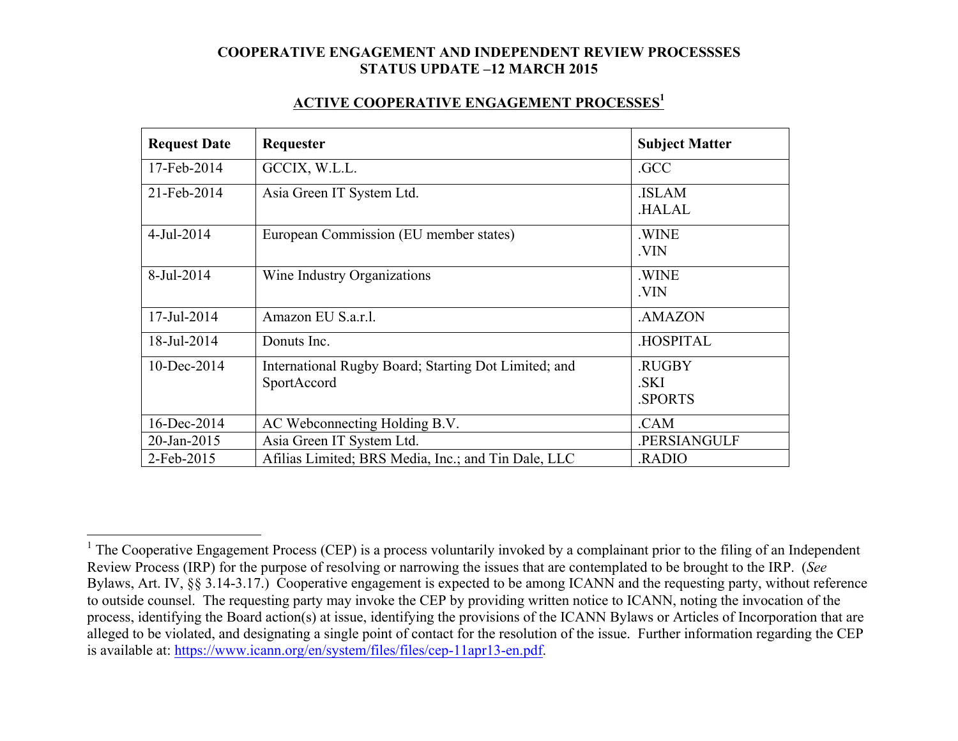#### **ACTIVE COOPERATIVE ENGAGEMENT PROCESSES1**

| <b>Request Date</b> | Requester                                                           | <b>Subject Matter</b>           |
|---------------------|---------------------------------------------------------------------|---------------------------------|
| 17-Feb-2014         | GCCIX, W.L.L.                                                       | .GCC                            |
| 21-Feb-2014         | Asia Green IT System Ltd.                                           | <b>ISLAM</b><br><b>HALAL</b>    |
| $4$ -Jul-2014       | European Commission (EU member states)                              | .WINE<br>.VIN                   |
| 8-Jul-2014          | Wine Industry Organizations                                         | .WINE<br>VIN.                   |
| 17-Jul-2014         | Amazon EU S.a.r.l.                                                  | .AMAZON                         |
| 18-Jul-2014         | Donuts Inc.                                                         | <b>HOSPITAL</b>                 |
| $10$ -Dec-2014      | International Rugby Board; Starting Dot Limited; and<br>SportAccord | .RUGBY<br>.SKI<br><b>SPORTS</b> |
| 16-Dec-2014         | AC Webconnecting Holding B.V.                                       | .CAM                            |
| 20-Jan-2015         | Asia Green IT System Ltd.                                           | .PERSIANGULF                    |
| 2-Feb-2015          | Afilias Limited; BRS Media, Inc.; and Tin Dale, LLC                 | .RADIO                          |

<sup>&</sup>lt;sup>1</sup> The Cooperative Engagement Process (CEP) is a process voluntarily invoked by a complainant prior to the filing of an Independent Review Process (IRP) for the purpose of resolving or narrowing the issues that are contemplated to be brought to the IRP. (*See* Bylaws, Art. IV, §§ 3.14-3.17.) Cooperative engagement is expected to be among ICANN and the requesting party, without reference to outside counsel. The requesting party may invoke the CEP by providing written notice to ICANN, noting the invocation of the process, identifying the Board action(s) at issue, identifying the provisions of the ICANN Bylaws or Articles of Incorporation that are alleged to be violated, and designating a single point of contact for the resolution of the issue. Further information regarding the CEP is available at: https://www.icann.org/en/system/files/files/cep-11apr13-en.pdf.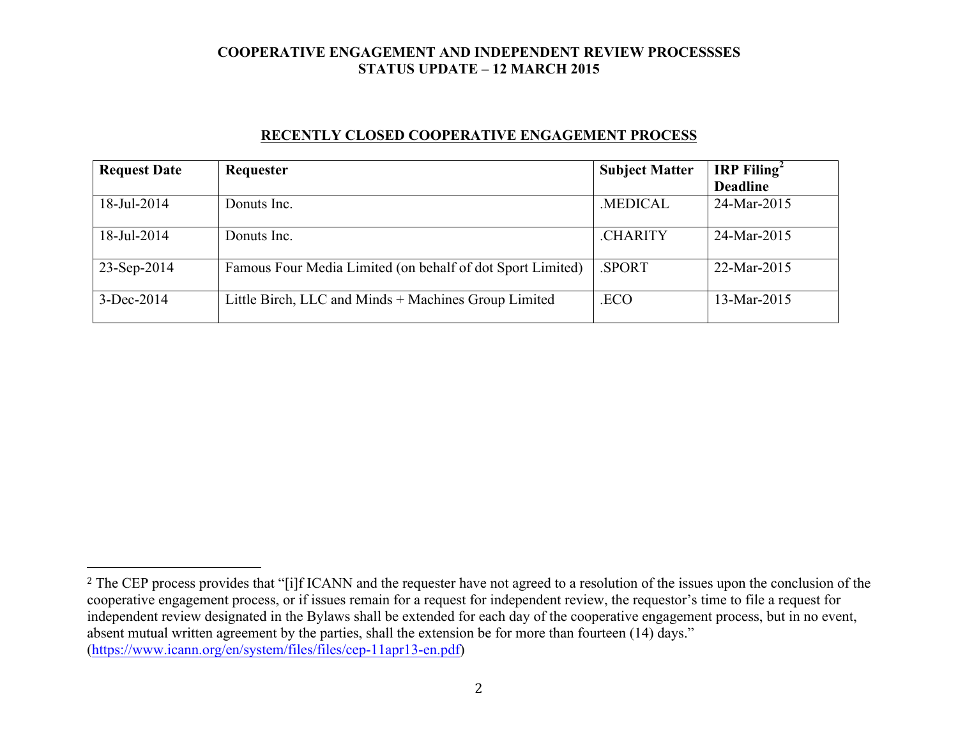### **RECENTLY CLOSED COOPERATIVE ENGAGEMENT PROCESS**

| <b>Request Date</b> | Requester                                                  | <b>Subject Matter</b> | <b>IRP</b> Filing <sup>2</sup> |
|---------------------|------------------------------------------------------------|-----------------------|--------------------------------|
|                     |                                                            |                       | <b>Deadline</b>                |
| 18-Jul-2014         | Donuts Inc.                                                | <b>MEDICAL</b>        | 24-Mar-2015                    |
| 18-Jul-2014         | Donuts Inc.                                                | <b>CHARITY</b>        | 24-Mar-2015                    |
| 23-Sep-2014         | Famous Four Media Limited (on behalf of dot Sport Limited) | <b>SPORT</b>          | 22-Mar-2015                    |
| $3-Dec-2014$        | Little Birch, LLC and Minds + Machines Group Limited       | .ECO                  | 13-Mar-2015                    |

 

<sup>&</sup>lt;sup>2</sup> The CEP process provides that "[i]f ICANN and the requester have not agreed to a resolution of the issues upon the conclusion of the cooperative engagement process, or if issues remain for a request for independent review, the requestor's time to file a request for independent review designated in the Bylaws shall be extended for each day of the cooperative engagement process, but in no event, absent mutual written agreement by the parties, shall the extension be for more than fourteen (14) days." (https://www.icann.org/en/system/files/files/cep-11apr13-en.pdf)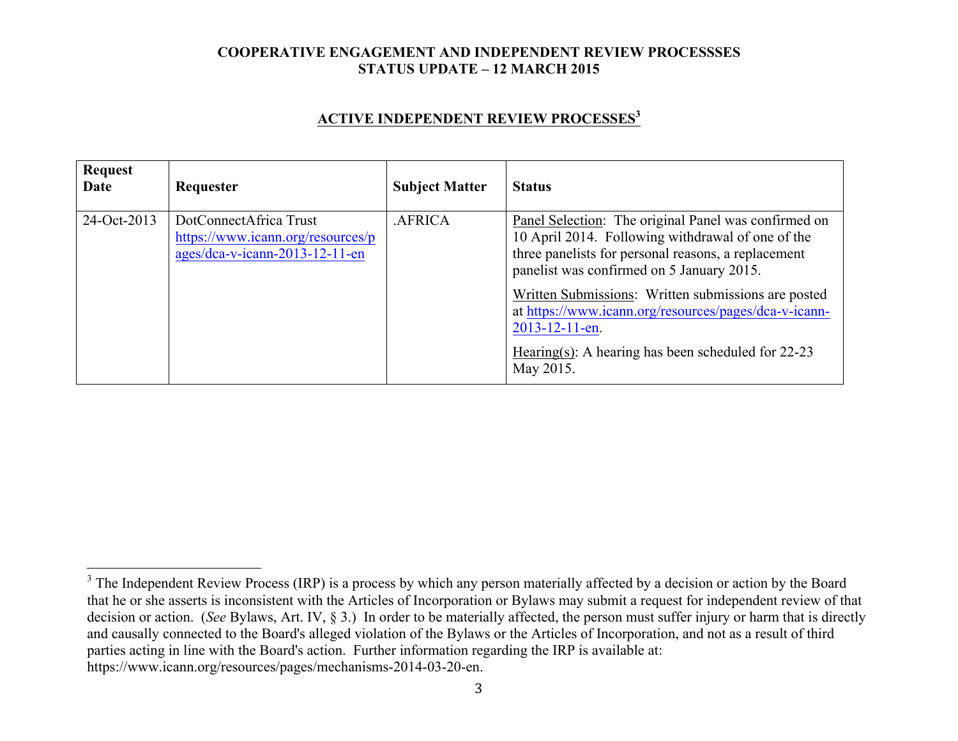### **ACTIVE INDEPENDENT REVIEW PROCESSES<sup>3</sup>**

| <b>Request</b><br>Date | Requester                                                                                     | <b>Subject Matter</b> | <b>Status</b>                                                                                                                                                                                                 |
|------------------------|-----------------------------------------------------------------------------------------------|-----------------------|---------------------------------------------------------------------------------------------------------------------------------------------------------------------------------------------------------------|
| 24-Oct-2013            | DotConnectAfrica Trust<br>https://www.icann.org/resources/p<br>ages/dca-v-icann-2013-12-11-en | <b>AFRICA</b>         | Panel Selection: The original Panel was confirmed on<br>10 April 2014. Following withdrawal of one of the<br>three panelists for personal reasons, a replacement<br>panelist was confirmed on 5 January 2015. |
|                        |                                                                                               |                       | Written Submissions: Written submissions are posted<br>at https://www.icann.org/resources/pages/dca-v-icann-<br>2013-12-11-en.<br>Hearing(s): A hearing has been scheduled for $22-23$<br>May 2015.           |

<sup>&</sup>lt;sup>3</sup> The Independent Review Process (IRP) is a process by which any person materially affected by a decision or action by the Board that he or she asserts is inconsistent with the Articles of Incorporation or Bylaws may submit a request for independent review of that decision or action. (*See* Bylaws, Art. IV, § 3.) In order to be materially affected, the person must suffer injury or harm that is directly and causally connected to the Board's alleged violation of the Bylaws or the Articles of Incorporation, and not as a result of third parties acting in line with the Board's action. Further information regarding the IRP is available at: https://www.icann.org/resources/pages/mechanisms-2014-03-20-en.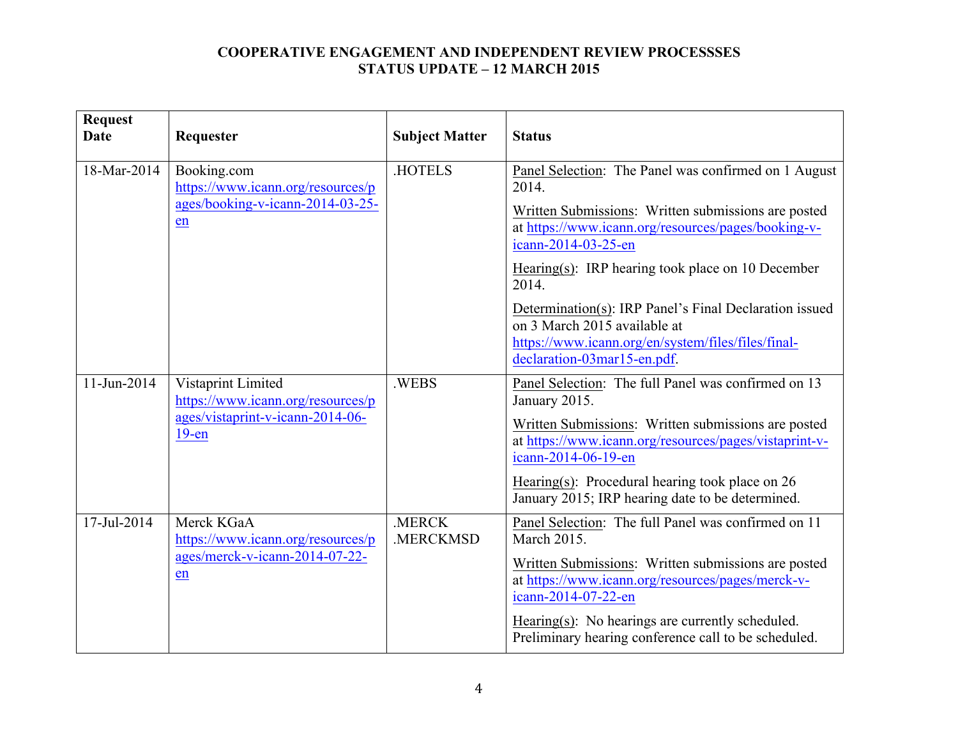| <b>Request</b><br><b>Date</b>    | Requester                                                                                               | <b>Subject Matter</b> | <b>Status</b>                                                                                                                                                               |
|----------------------------------|---------------------------------------------------------------------------------------------------------|-----------------------|-----------------------------------------------------------------------------------------------------------------------------------------------------------------------------|
| 18-Mar-2014<br>Booking.com<br>en | https://www.icann.org/resources/p                                                                       | <b>HOTELS</b>         | Panel Selection: The Panel was confirmed on 1 August<br>2014.                                                                                                               |
|                                  | ages/booking-v-icann-2014-03-25-                                                                        |                       | Written Submissions: Written submissions are posted<br>at https://www.icann.org/resources/pages/booking-v-<br>icann-2014-03-25-en                                           |
|                                  |                                                                                                         |                       | Hearing(s): IRP hearing took place on 10 December<br>2014.                                                                                                                  |
|                                  |                                                                                                         |                       | Determination(s): IRP Panel's Final Declaration issued<br>on 3 March 2015 available at<br>https://www.icann.org/en/system/files/files/final-<br>declaration-03mar15-en.pdf. |
| 11-Jun-2014                      | Vistaprint Limited<br>https://www.icann.org/resources/p<br>ages/vistaprint-v-icann-2014-06-<br>$19$ -en | .WEBS                 | Panel Selection: The full Panel was confirmed on 13<br>January 2015.                                                                                                        |
|                                  |                                                                                                         |                       | Written Submissions: Written submissions are posted<br>at https://www.icann.org/resources/pages/vistaprint-v-<br>icann-2014-06-19-en                                        |
|                                  |                                                                                                         |                       | Hearing(s): Procedural hearing took place on $26$<br>January 2015; IRP hearing date to be determined.                                                                       |
| 17-Jul-2014                      | Merck KGaA<br>https://www.icann.org/resources/p<br>ages/merck-v-icann-2014-07-22-<br>en                 | .MERCK<br>.MERCKMSD   | Panel Selection: The full Panel was confirmed on 11<br><b>March 2015.</b>                                                                                                   |
|                                  |                                                                                                         |                       | Written Submissions: Written submissions are posted<br>at https://www.icann.org/resources/pages/merck-v-<br>icann-2014-07-22-en                                             |
|                                  |                                                                                                         |                       | Hearing(s): No hearings are currently scheduled.<br>Preliminary hearing conference call to be scheduled.                                                                    |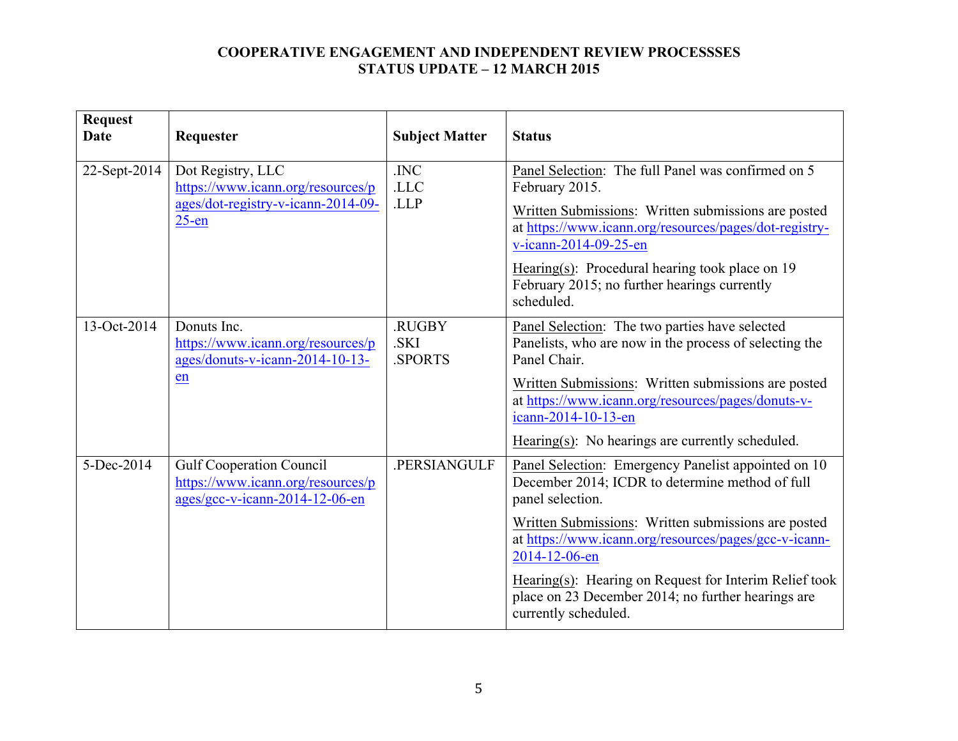| <b>Request</b><br>Date | Requester                                                                                                | <b>Subject Matter</b>           | <b>Status</b>                                                                                                                                                                                                                                                                                                                                                                                       |
|------------------------|----------------------------------------------------------------------------------------------------------|---------------------------------|-----------------------------------------------------------------------------------------------------------------------------------------------------------------------------------------------------------------------------------------------------------------------------------------------------------------------------------------------------------------------------------------------------|
| 22-Sept-2014           | Dot Registry, LLC<br>https://www.icann.org/resources/p<br>ages/dot-registry-v-icann-2014-09-<br>$25$ -en | .INC<br>.LLC<br>.LLP            | Panel Selection: The full Panel was confirmed on 5<br>February 2015.<br>Written Submissions: Written submissions are posted<br>at https://www.icann.org/resources/pages/dot-registry-<br>v-icann-2014-09-25-en<br>Hearing $(s)$ : Procedural hearing took place on 19<br>February 2015; no further hearings currently<br>scheduled.                                                                 |
| 13-Oct-2014            | Donuts Inc.<br>https://www.icann.org/resources/p<br>ages/donuts-v-icann-2014-10-13-<br>en                | .RUGBY<br>.SKI<br><b>SPORTS</b> | Panel Selection: The two parties have selected<br>Panelists, who are now in the process of selecting the<br>Panel Chair.<br>Written Submissions: Written submissions are posted<br>at https://www.icann.org/resources/pages/donuts-v-<br>icann-2014-10-13-en<br>Hearing(s): No hearings are currently scheduled.                                                                                    |
| 5-Dec-2014             | <b>Gulf Cooperation Council</b><br>https://www.icann.org/resources/p<br>ages/gcc-v-icann-2014-12-06-en   | .PERSIANGULF                    | Panel Selection: Emergency Panelist appointed on 10<br>December 2014; ICDR to determine method of full<br>panel selection.<br>Written Submissions: Written submissions are posted<br>at https://www.icann.org/resources/pages/gcc-v-icann-<br>2014-12-06-en<br>Hearing(s): Hearing on Request for Interim Relief took<br>place on 23 December 2014; no further hearings are<br>currently scheduled. |